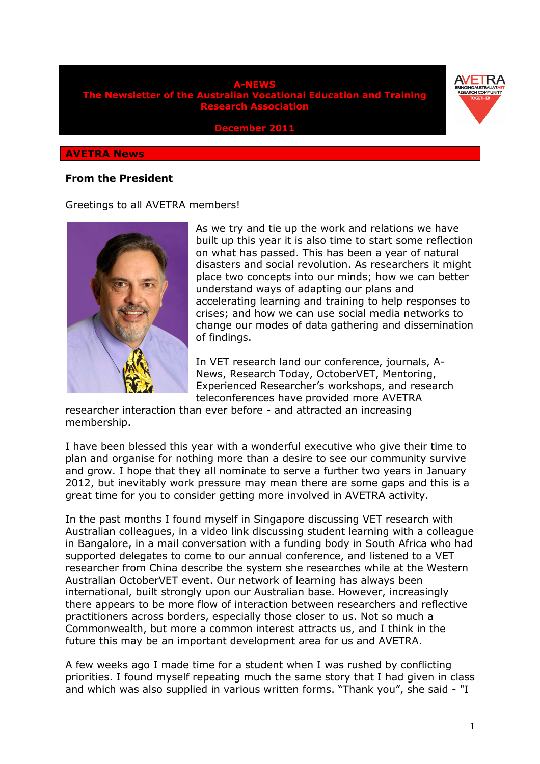



**December 2011** 

#### **AVETRA News**

#### **From the President**

#### Greetings to all AVETRA members!



As we try and tie up the work and relations we have built up this year it is also time to start some reflection on what has passed. This has been a year of natural disasters and social revolution. As researchers it might place two concepts into our minds; how we can better understand ways of adapting our plans and accelerating learning and training to help responses to crises; and how we can use social media networks to change our modes of data gathering and dissemination of findings.

In VET research land our conference, journals, A-News, Research Today, OctoberVET, Mentoring, Experienced Researcher's workshops, and research teleconferences have provided more AVETRA

researcher interaction than ever before - and attracted an increasing membership.

I have been blessed this year with a wonderful executive who give their time to plan and organise for nothing more than a desire to see our community survive and grow. I hope that they all nominate to serve a further two years in January 2012, but inevitably work pressure may mean there are some gaps and this is a great time for you to consider getting more involved in AVETRA activity.

In the past months I found myself in Singapore discussing VET research with Australian colleagues, in a video link discussing student learning with a colleague in Bangalore, in a mail conversation with a funding body in South Africa who had supported delegates to come to our annual conference, and listened to a VET researcher from China describe the system she researches while at the Western Australian OctoberVET event. Our network of learning has always been international, built strongly upon our Australian base. However, increasingly there appears to be more flow of interaction between researchers and reflective practitioners across borders, especially those closer to us. Not so much a Commonwealth, but more a common interest attracts us, and I think in the future this may be an important development area for us and AVETRA.

A few weeks ago I made time for a student when I was rushed by conflicting priorities. I found myself repeating much the same story that I had given in class and which was also supplied in various written forms. "Thank you", she said - "I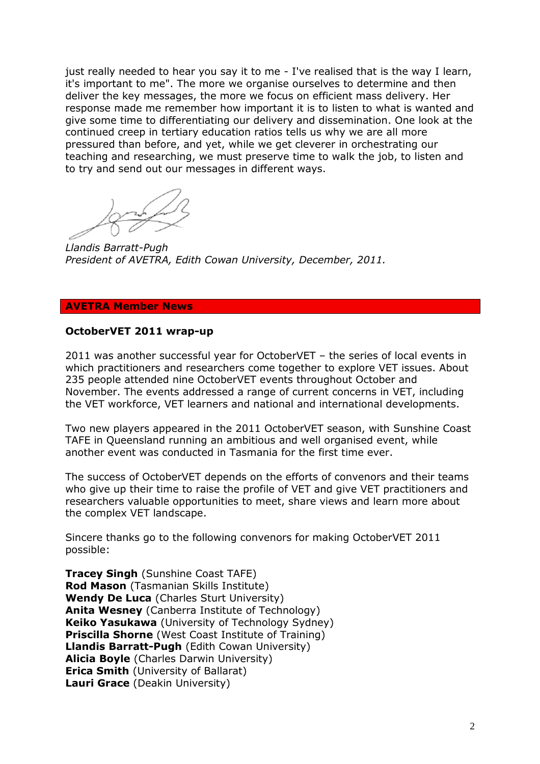just really needed to hear you say it to me - I've realised that is the way I learn, it's important to me". The more we organise ourselves to determine and then deliver the key messages, the more we focus on efficient mass delivery. Her response made me remember how important it is to listen to what is wanted and give some time to differentiating our delivery and dissemination. One look at the continued creep in tertiary education ratios tells us why we are all more pressured than before, and yet, while we get cleverer in orchestrating our teaching and researching, we must preserve time to walk the job, to listen and to try and send out our messages in different ways.

*Llandis Barratt-Pugh President of AVETRA, Edith Cowan University, December, 2011.* 

#### **AVETRA Member News**

#### **OctoberVET 2011 wrap-up**

2011 was another successful year for OctoberVET – the series of local events in which practitioners and researchers come together to explore VET issues. About 235 people attended nine OctoberVET events throughout October and November. The events addressed a range of current concerns in VET, including the VET workforce, VET learners and national and international developments.

Two new players appeared in the 2011 OctoberVET season, with Sunshine Coast TAFE in Queensland running an ambitious and well organised event, while another event was conducted in Tasmania for the first time ever.

The success of OctoberVET depends on the efforts of convenors and their teams who give up their time to raise the profile of VET and give VET practitioners and researchers valuable opportunities to meet, share views and learn more about the complex VET landscape.

Sincere thanks go to the following convenors for making OctoberVET 2011 possible:

**Tracey Singh** (Sunshine Coast TAFE) **Rod Mason** (Tasmanian Skills Institute) **Wendy De Luca** (Charles Sturt University) **Anita Wesney** (Canberra Institute of Technology) **Keiko Yasukawa** (University of Technology Sydney) **Priscilla Shorne** (West Coast Institute of Training) **Llandis Barratt-Pugh** (Edith Cowan University) **Alicia Boyle** (Charles Darwin University) **Erica Smith** (University of Ballarat) **Lauri Grace** (Deakin University)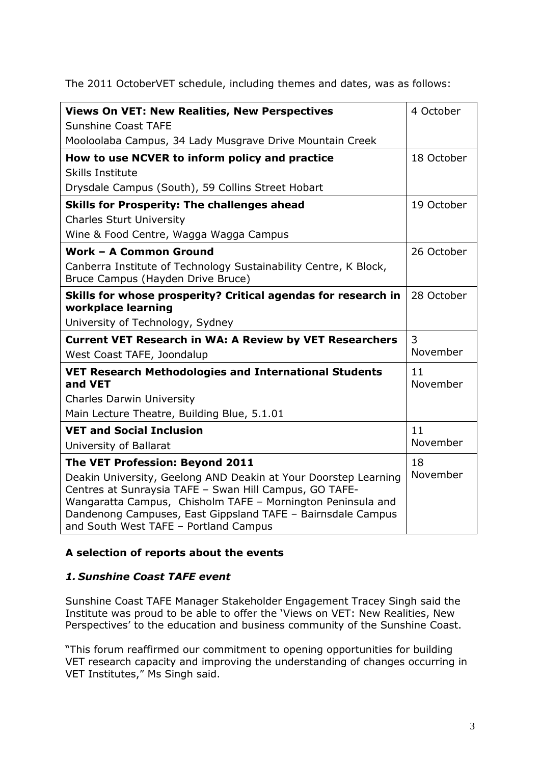The 2011 OctoberVET schedule, including themes and dates, was as follows:

| <b>Views On VET: New Realities, New Perspectives</b>                                                 | 4 October  |
|------------------------------------------------------------------------------------------------------|------------|
| <b>Sunshine Coast TAFE</b>                                                                           |            |
| Mooloolaba Campus, 34 Lady Musgrave Drive Mountain Creek                                             |            |
| How to use NCVER to inform policy and practice                                                       | 18 October |
| <b>Skills Institute</b>                                                                              |            |
| Drysdale Campus (South), 59 Collins Street Hobart                                                    |            |
| <b>Skills for Prosperity: The challenges ahead</b>                                                   | 19 October |
| <b>Charles Sturt University</b>                                                                      |            |
| Wine & Food Centre, Wagga Wagga Campus                                                               |            |
| Work - A Common Ground                                                                               | 26 October |
| Canberra Institute of Technology Sustainability Centre, K Block,                                     |            |
| Bruce Campus (Hayden Drive Bruce)                                                                    |            |
| Skills for whose prosperity? Critical agendas for research in                                        | 28 October |
| workplace learning                                                                                   |            |
| University of Technology, Sydney                                                                     |            |
| <b>Current VET Research in WA: A Review by VET Researchers</b>                                       | 3          |
| West Coast TAFE, Joondalup                                                                           | November   |
| <b>VET Research Methodologies and International Students</b>                                         | 11         |
| and VET                                                                                              | November   |
| <b>Charles Darwin University</b>                                                                     |            |
| Main Lecture Theatre, Building Blue, 5.1.01                                                          |            |
| <b>VET and Social Inclusion</b>                                                                      | 11         |
| University of Ballarat                                                                               | November   |
| The VET Profession: Beyond 2011                                                                      | 18         |
| Deakin University, Geelong AND Deakin at Your Doorstep Learning                                      | November   |
| Centres at Sunraysia TAFE - Swan Hill Campus, GO TAFE-                                               |            |
| Wangaratta Campus, Chisholm TAFE - Mornington Peninsula and                                          |            |
| Dandenong Campuses, East Gippsland TAFE - Bairnsdale Campus<br>and South West TAFE - Portland Campus |            |
|                                                                                                      |            |

## **A selection of reports about the events**

# *1. Sunshine Coast TAFE event*

Sunshine Coast TAFE Manager Stakeholder Engagement Tracey Singh said the Institute was proud to be able to offer the 'Views on VET: New Realities, New Perspectives' to the education and business community of the Sunshine Coast.

"This forum reaffirmed our commitment to opening opportunities for building VET research capacity and improving the understanding of changes occurring in VET Institutes," Ms Singh said.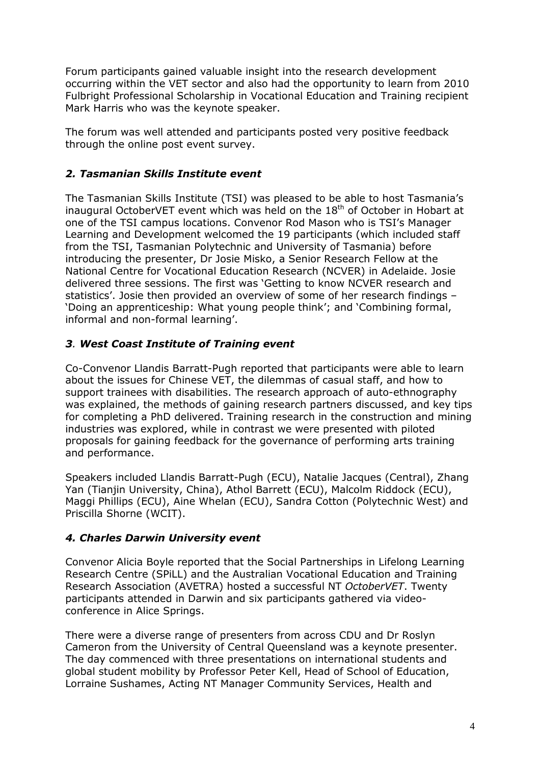Forum participants gained valuable insight into the research development occurring within the VET sector and also had the opportunity to learn from 2010 Fulbright Professional Scholarship in Vocational Education and Training recipient Mark Harris who was the keynote speaker.

The forum was well attended and participants posted very positive feedback through the online post event survey.

# *2. Tasmanian Skills Institute event*

The Tasmanian Skills Institute (TSI) was pleased to be able to host Tasmania's inaugural OctoberVET event which was held on the  $18<sup>th</sup>$  of October in Hobart at one of the TSI campus locations. Convenor Rod Mason who is TSI's Manager Learning and Development welcomed the 19 participants (which included staff from the TSI, Tasmanian Polytechnic and University of Tasmania) before introducing the presenter, Dr Josie Misko, a Senior Research Fellow at the National Centre for Vocational Education Research (NCVER) in Adelaide. Josie delivered three sessions. The first was 'Getting to know NCVER research and statistics'. Josie then provided an overview of some of her research findings – 'Doing an apprenticeship: What young people think'; and 'Combining formal, informal and non-formal learning'.

# *3. West Coast Institute of Training event*

Co-Convenor Llandis Barratt-Pugh reported that participants were able to learn about the issues for Chinese VET, the dilemmas of casual staff, and how to support trainees with disabilities. The research approach of auto-ethnography was explained, the methods of gaining research partners discussed, and key tips for completing a PhD delivered. Training research in the construction and mining industries was explored, while in contrast we were presented with piloted proposals for gaining feedback for the governance of performing arts training and performance.

Speakers included Llandis Barratt-Pugh (ECU), Natalie Jacques (Central), Zhang Yan (Tianjin University, China), Athol Barrett (ECU), Malcolm Riddock (ECU), Maggi Phillips (ECU), Aine Whelan (ECU), Sandra Cotton (Polytechnic West) and Priscilla Shorne (WCIT).

## *4. Charles Darwin University event*

Convenor Alicia Boyle reported that the Social Partnerships in Lifelong Learning Research Centre (SPiLL) and the Australian Vocational Education and Training Research Association (AVETRA) hosted a successful NT *OctoberVET*. Twenty participants attended in Darwin and six participants gathered via videoconference in Alice Springs.

There were a diverse range of presenters from across CDU and Dr Roslyn Cameron from the University of Central Queensland was a keynote presenter. The day commenced with three presentations on international students and global student mobility by Professor Peter Kell, Head of School of Education, Lorraine Sushames, Acting NT Manager Community Services, Health and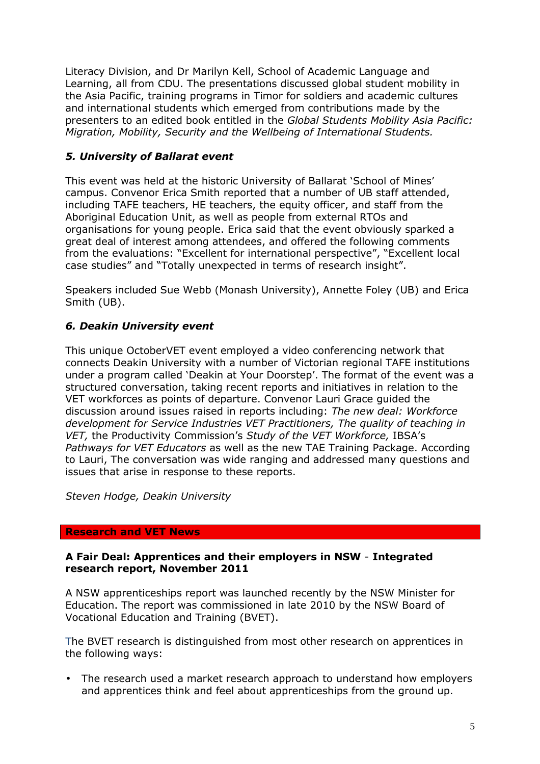Literacy Division, and Dr Marilyn Kell, School of Academic Language and Learning, all from CDU. The presentations discussed global student mobility in the Asia Pacific, training programs in Timor for soldiers and academic cultures and international students which emerged from contributions made by the presenters to an edited book entitled in the *Global Students Mobility Asia Pacific: Migration, Mobility, Security and the Wellbeing of International Students.*

# *5. University of Ballarat event*

This event was held at the historic University of Ballarat 'School of Mines' campus. Convenor Erica Smith reported that a number of UB staff attended, including TAFE teachers, HE teachers, the equity officer, and staff from the Aboriginal Education Unit, as well as people from external RTOs and organisations for young people. Erica said that the event obviously sparked a great deal of interest among attendees, and offered the following comments from the evaluations: "Excellent for international perspective", "Excellent local case studies" and "Totally unexpected in terms of research insight".

Speakers included Sue Webb (Monash University), Annette Foley (UB) and Erica Smith (UB).

# *6. Deakin University event*

This unique OctoberVET event employed a video conferencing network that connects Deakin University with a number of Victorian regional TAFE institutions under a program called 'Deakin at Your Doorstep'. The format of the event was a structured conversation, taking recent reports and initiatives in relation to the VET workforces as points of departure. Convenor Lauri Grace guided the discussion around issues raised in reports including: *The new deal: Workforce development for Service Industries VET Practitioners, The quality of teaching in VET,* the Productivity Commission's *Study of the VET Workforce,* IBSA's *Pathways for VET Educators* as well as the new TAE Training Package. According to Lauri, The conversation was wide ranging and addressed many questions and issues that arise in response to these reports.

*Steven Hodge, Deakin University*

## **Research and VET News**

### **A Fair Deal: Apprentices and their employers in NSW** - **Integrated research report, November 2011**

A NSW apprenticeships report was launched recently by the NSW Minister for Education. The report was commissioned in late 2010 by the NSW Board of Vocational Education and Training (BVET).

The BVET research is distinguished from most other research on apprentices in the following ways:

• The research used a market research approach to understand how employers and apprentices think and feel about apprenticeships from the ground up.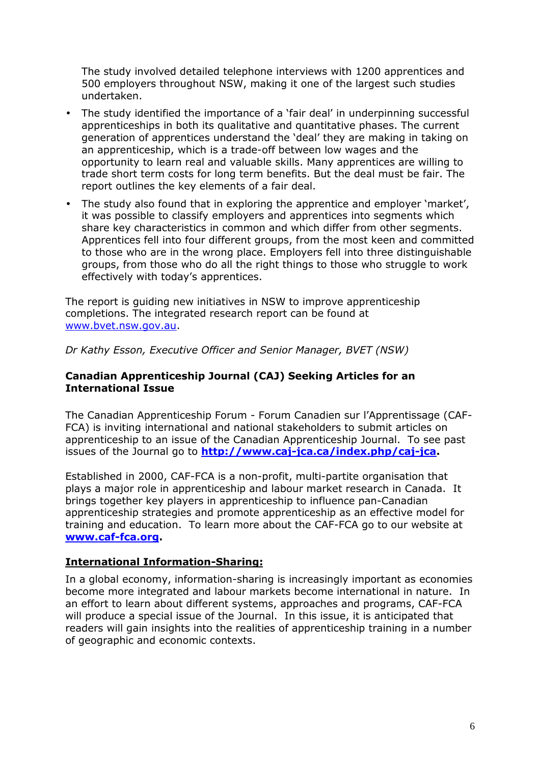The study involved detailed telephone interviews with 1200 apprentices and 500 employers throughout NSW, making it one of the largest such studies undertaken.

- The study identified the importance of a 'fair deal' in underpinning successful apprenticeships in both its qualitative and quantitative phases. The current generation of apprentices understand the 'deal' they are making in taking on an apprenticeship, which is a trade-off between low wages and the opportunity to learn real and valuable skills. Many apprentices are willing to trade short term costs for long term benefits. But the deal must be fair. The report outlines the key elements of a fair deal.
- The study also found that in exploring the apprentice and employer 'market', it was possible to classify employers and apprentices into segments which share key characteristics in common and which differ from other segments. Apprentices fell into four different groups, from the most keen and committed to those who are in the wrong place. Employers fell into three distinguishable groups, from those who do all the right things to those who struggle to work effectively with today's apprentices.

The report is guiding new initiatives in NSW to improve apprenticeship completions. The integrated research report can be found at www.bvet.nsw.gov.au.

*Dr Kathy Esson, Executive Officer and Senior Manager, BVET (NSW)* 

## **Canadian Apprenticeship Journal (CAJ) Seeking Articles for an International Issue**

The Canadian Apprenticeship Forum - Forum Canadien sur l'Apprentissage (CAF-FCA) is inviting international and national stakeholders to submit articles on apprenticeship to an issue of the Canadian Apprenticeship Journal. To see past issues of the Journal go to **http://www.caj-jca.ca/index.php/caj-jca.** 

Established in 2000, CAF-FCA is a non-profit, multi-partite organisation that plays a major role in apprenticeship and labour market research in Canada. It brings together key players in apprenticeship to influence pan-Canadian apprenticeship strategies and promote apprenticeship as an effective model for training and education. To learn more about the CAF-FCA go to our website at **www.caf-fca.org.** 

## **International Information-Sharing:**

In a global economy, information-sharing is increasingly important as economies become more integrated and labour markets become international in nature. In an effort to learn about different systems, approaches and programs, CAF-FCA will produce a special issue of the Journal. In this issue, it is anticipated that readers will gain insights into the realities of apprenticeship training in a number of geographic and economic contexts.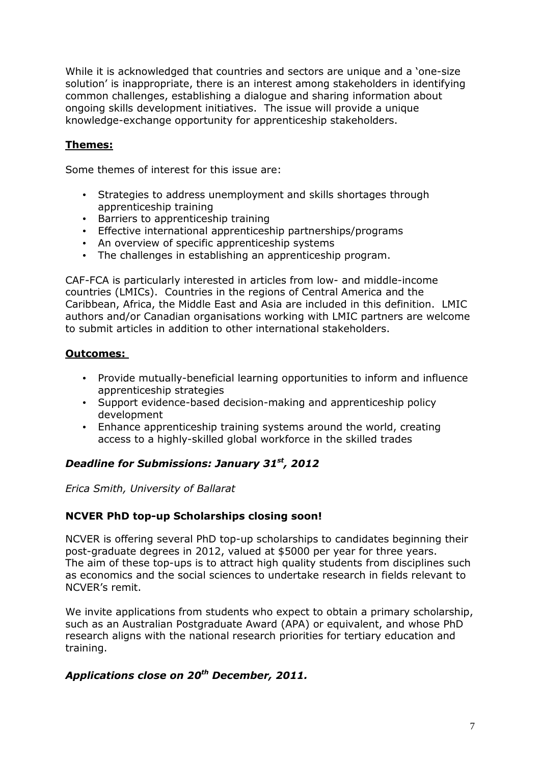While it is acknowledged that countries and sectors are unique and a 'one-size solution' is inappropriate, there is an interest among stakeholders in identifying common challenges, establishing a dialogue and sharing information about ongoing skills development initiatives. The issue will provide a unique knowledge-exchange opportunity for apprenticeship stakeholders.

## **Themes:**

Some themes of interest for this issue are:

- Strategies to address unemployment and skills shortages through apprenticeship training
- Barriers to apprenticeship training
- Effective international apprenticeship partnerships/programs
- An overview of specific apprenticeship systems
- The challenges in establishing an apprenticeship program.

CAF-FCA is particularly interested in articles from low- and middle-income countries (LMICs). Countries in the regions of Central America and the Caribbean, Africa, the Middle East and Asia are included in this definition. LMIC authors and/or Canadian organisations working with LMIC partners are welcome to submit articles in addition to other international stakeholders.

## **Outcomes:**

- Provide mutually-beneficial learning opportunities to inform and influence apprenticeship strategies
- Support evidence-based decision-making and apprenticeship policy development
- Enhance apprenticeship training systems around the world, creating access to a highly-skilled global workforce in the skilled trades

## *Deadline for Submissions: January 31st, 2012*

*Erica Smith, University of Ballarat* 

## **NCVER PhD top-up Scholarships closing soon!**

NCVER is offering several PhD top-up scholarships to candidates beginning their post-graduate degrees in 2012, valued at \$5000 per year for three years. The aim of these top-ups is to attract high quality students from disciplines such as economics and the social sciences to undertake research in fields relevant to NCVER's remit.

We invite applications from students who expect to obtain a primary scholarship, such as an Australian Postgraduate Award (APA) or equivalent, and whose PhD research aligns with the national research priorities for tertiary education and training.

## *Applications close on 20th December, 2011.*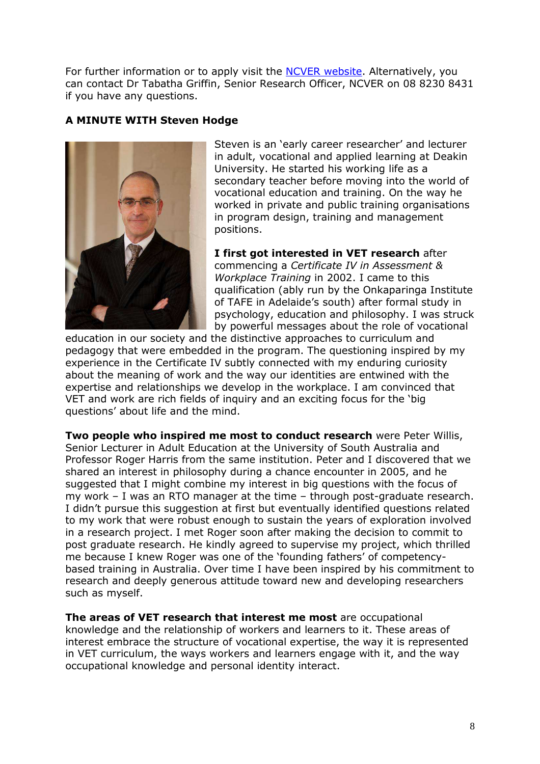For further information or to apply visit the NCVER website. Alternatively, you can contact Dr Tabatha Griffin, Senior Research Officer, NCVER on 08 8230 8431 if you have any questions.

## **A MINUTE WITH Steven Hodge**



Steven is an 'early career researcher' and lecturer in adult, vocational and applied learning at Deakin University. He started his working life as a secondary teacher before moving into the world of vocational education and training. On the way he worked in private and public training organisations in program design, training and management positions.

**I first got interested in VET research** after commencing a *Certificate IV in Assessment & Workplace Training* in 2002. I came to this qualification (ably run by the Onkaparinga Institute of TAFE in Adelaide's south) after formal study in psychology, education and philosophy. I was struck by powerful messages about the role of vocational

education in our society and the distinctive approaches to curriculum and pedagogy that were embedded in the program. The questioning inspired by my experience in the Certificate IV subtly connected with my enduring curiosity about the meaning of work and the way our identities are entwined with the expertise and relationships we develop in the workplace. I am convinced that VET and work are rich fields of inquiry and an exciting focus for the 'big questions' about life and the mind.

**Two people who inspired me most to conduct research** were Peter Willis, Senior Lecturer in Adult Education at the University of South Australia and Professor Roger Harris from the same institution. Peter and I discovered that we shared an interest in philosophy during a chance encounter in 2005, and he suggested that I might combine my interest in big questions with the focus of my work – I was an RTO manager at the time – through post-graduate research. I didn't pursue this suggestion at first but eventually identified questions related to my work that were robust enough to sustain the years of exploration involved in a research project. I met Roger soon after making the decision to commit to post graduate research. He kindly agreed to supervise my project, which thrilled me because I knew Roger was one of the 'founding fathers' of competencybased training in Australia. Over time I have been inspired by his commitment to research and deeply generous attitude toward new and developing researchers such as myself.

**The areas of VET research that interest me most** are occupational knowledge and the relationship of workers and learners to it. These areas of interest embrace the structure of vocational expertise, the way it is represented in VET curriculum, the ways workers and learners engage with it, and the way occupational knowledge and personal identity interact.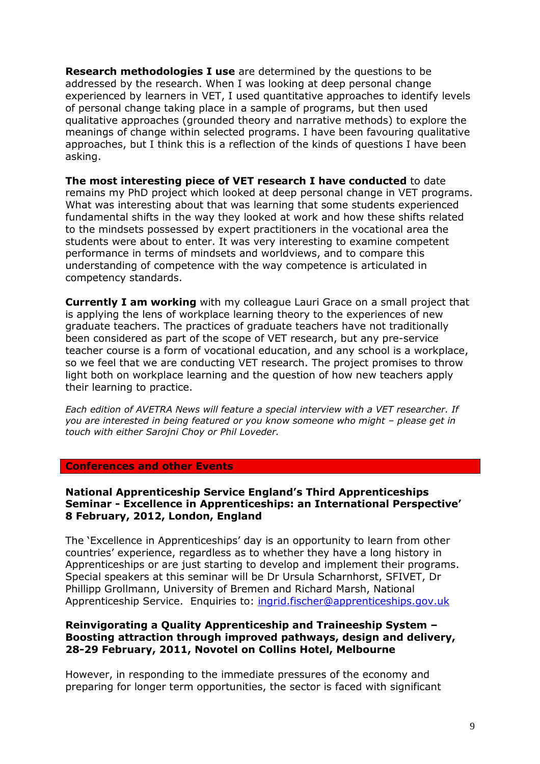**Research methodologies I use** are determined by the questions to be addressed by the research. When I was looking at deep personal change experienced by learners in VET, I used quantitative approaches to identify levels of personal change taking place in a sample of programs, but then used qualitative approaches (grounded theory and narrative methods) to explore the meanings of change within selected programs. I have been favouring qualitative approaches, but I think this is a reflection of the kinds of questions I have been asking.

**The most interesting piece of VET research I have conducted** to date remains my PhD project which looked at deep personal change in VET programs. What was interesting about that was learning that some students experienced fundamental shifts in the way they looked at work and how these shifts related to the mindsets possessed by expert practitioners in the vocational area the students were about to enter. It was very interesting to examine competent performance in terms of mindsets and worldviews, and to compare this understanding of competence with the way competence is articulated in competency standards.

**Currently I am working** with my colleague Lauri Grace on a small project that is applying the lens of workplace learning theory to the experiences of new graduate teachers. The practices of graduate teachers have not traditionally been considered as part of the scope of VET research, but any pre-service teacher course is a form of vocational education, and any school is a workplace, so we feel that we are conducting VET research. The project promises to throw light both on workplace learning and the question of how new teachers apply their learning to practice.

*Each edition of AVETRA News will feature a special interview with a VET researcher. If you are interested in being featured or you know someone who might – please get in touch with either Sarojni Choy or Phil Loveder.* 

#### **Conferences and other Events**

### **National Apprenticeship Service England's Third Apprenticeships Seminar - Excellence in Apprenticeships: an International Perspective' 8 February, 2012, London, England**

The 'Excellence in Apprenticeships' day is an opportunity to learn from other countries' experience, regardless as to whether they have a long history in Apprenticeships or are just starting to develop and implement their programs. Special speakers at this seminar will be Dr Ursula Scharnhorst, SFIVET, Dr Phillipp Grollmann, University of Bremen and Richard Marsh, National Apprenticeship Service. Enquiries to: ingrid.fischer@apprenticeships.gov.uk

#### **Reinvigorating a Quality Apprenticeship and Traineeship System – Boosting attraction through improved pathways, design and delivery, 28-29 February, 2011, Novotel on Collins Hotel, Melbourne**

However, in responding to the immediate pressures of the economy and preparing for longer term opportunities, the sector is faced with significant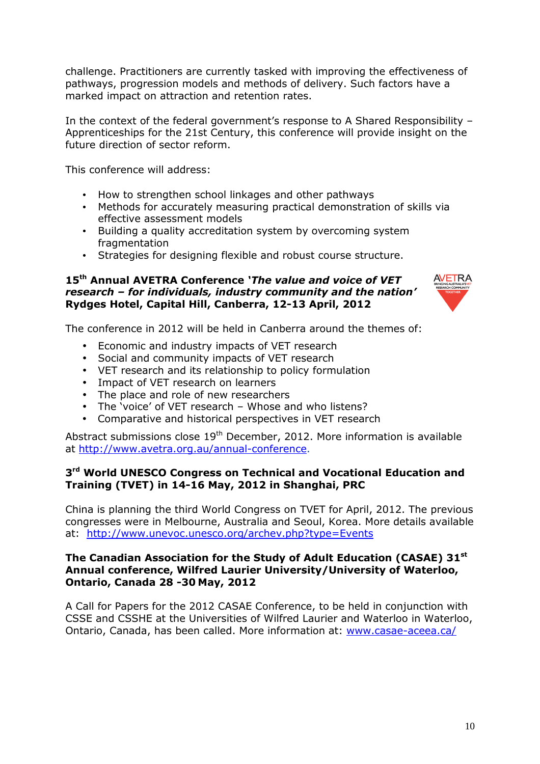challenge. Practitioners are currently tasked with improving the effectiveness of pathways, progression models and methods of delivery. Such factors have a marked impact on attraction and retention rates.

In the context of the federal government's response to A Shared Responsibility – Apprenticeships for the 21st Century, this conference will provide insight on the future direction of sector reform.

This conference will address:

- How to strengthen school linkages and other pathways
- Methods for accurately measuring practical demonstration of skills via effective assessment models
- Building a quality accreditation system by overcoming system fragmentation
- Strategies for designing flexible and robust course structure.

### **15th Annual AVETRA Conference** *'The value and voice of VET research – for individuals, industry community and the nation'*  **Rydges Hotel, Capital Hill, Canberra, 12-13 April, 2012**



The conference in 2012 will be held in Canberra around the themes of:

- Economic and industry impacts of VET research
- Social and community impacts of VET research
- VET research and its relationship to policy formulation
- Impact of VET research on learners
- The place and role of new researchers
- The 'voice' of VET research Whose and who listens?
- Comparative and historical perspectives in VET research

Abstract submissions close  $19<sup>th</sup>$  December, 2012. More information is available at http://www.avetra.org.au/annual-conference.

### **3 rd World UNESCO Congress on Technical and Vocational Education and Training (TVET) in 14-16 May, 2012 in Shanghai, PRC**

China is planning the third World Congress on TVET for April, 2012. The previous congresses were in Melbourne, Australia and Seoul, Korea. More details available at: http://www.unevoc.unesco.org/archev.php?type=Events

### **The Canadian Association for the Study of Adult Education (CASAE) 31st Annual conference, Wilfred Laurier University/University of Waterloo, Ontario, Canada 28 -30 May, 2012**

A Call for Papers for the 2012 CASAE Conference, to be held in conjunction with CSSE and CSSHE at the Universities of Wilfred Laurier and Waterloo in Waterloo, Ontario, Canada, has been called. More information at: www.casae-aceea.ca/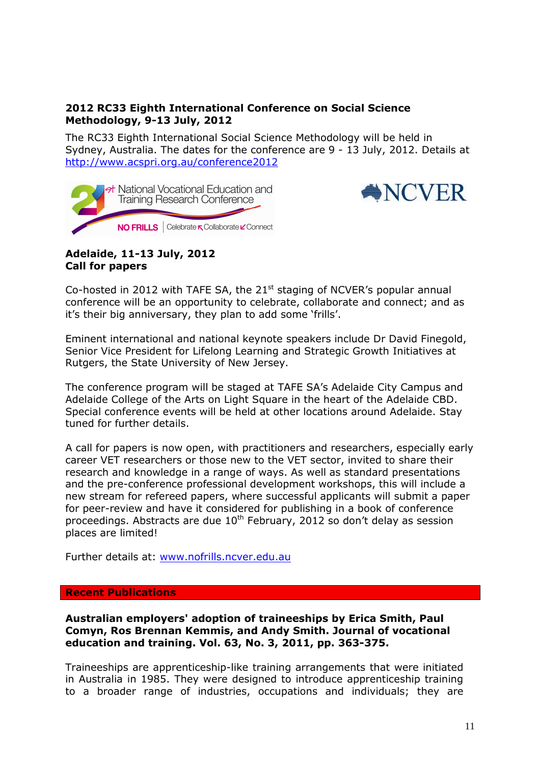## **2012 RC33 Eighth International Conference on Social Science Methodology, 9-13 July, 2012**

The RC33 Eighth International Social Science Methodology will be held in Sydney, Australia. The dates for the conference are 9 - 13 July, 2012. Details at http://www.acspri.org.au/conference2012





### **Adelaide, 11-13 July, 2012 Call for papers**

Co-hosted in 2012 with TAFE SA, the  $21<sup>st</sup>$  staging of NCVER's popular annual conference will be an opportunity to celebrate, collaborate and connect; and as it's their big anniversary, they plan to add some 'frills'.

Eminent international and national keynote speakers include Dr David Finegold, Senior Vice President for Lifelong Learning and Strategic Growth Initiatives at Rutgers, the State University of New Jersey.

The conference program will be staged at TAFE SA's Adelaide City Campus and Adelaide College of the Arts on Light Square in the heart of the Adelaide CBD. Special conference events will be held at other locations around Adelaide. Stay tuned for further details.

A call for papers is now open, with practitioners and researchers, especially early career VET researchers or those new to the VET sector, invited to share their research and knowledge in a range of ways. As well as standard presentations and the pre-conference professional development workshops, this will include a new stream for refereed papers, where successful applicants will submit a paper for peer-review and have it considered for publishing in a book of conference proceedings. Abstracts are due  $10<sup>th</sup>$  February, 2012 so don't delay as session places are limited!

Further details at: www.nofrills.ncver.edu.au

#### **Recent Publications**

**Australian employers' adoption of traineeships by Erica Smith, Paul Comyn, Ros Brennan Kemmis, and Andy Smith. Journal of vocational education and training. Vol. 63, No. 3, 2011, pp. 363-375.**

Traineeships are apprenticeship-like training arrangements that were initiated in Australia in 1985. They were designed to introduce apprenticeship training to a broader range of industries, occupations and individuals; they are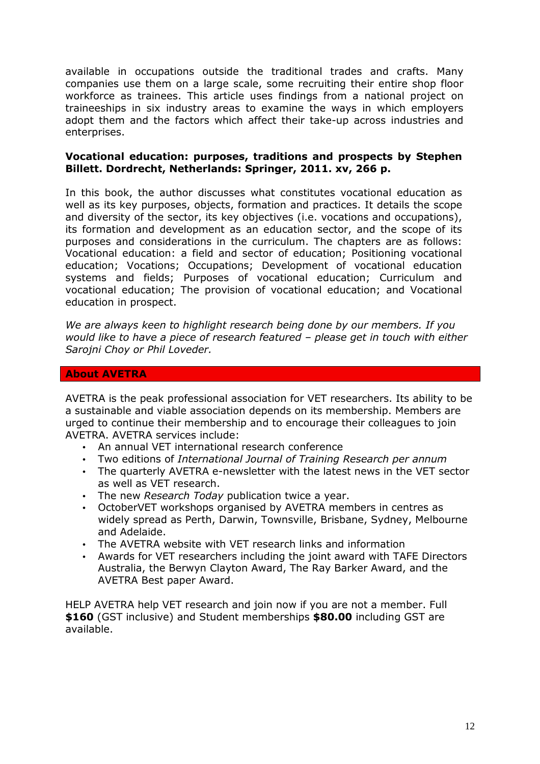available in occupations outside the traditional trades and crafts. Many companies use them on a large scale, some recruiting their entire shop floor workforce as trainees. This article uses findings from a national project on traineeships in six industry areas to examine the ways in which employers adopt them and the factors which affect their take-up across industries and enterprises.

### **Vocational education: purposes, traditions and prospects by Stephen Billett. Dordrecht, Netherlands: Springer, 2011. xv, 266 p.**

In this book, the author discusses what constitutes vocational education as well as its key purposes, objects, formation and practices. It details the scope and diversity of the sector, its key objectives (i.e. vocations and occupations), its formation and development as an education sector, and the scope of its purposes and considerations in the curriculum. The chapters are as follows: Vocational education: a field and sector of education; Positioning vocational education; Vocations; Occupations; Development of vocational education systems and fields; Purposes of vocational education; Curriculum and vocational education; The provision of vocational education; and Vocational education in prospect.

*We are always keen to highlight research being done by our members. If you would like to have a piece of research featured – please get in touch with either Sarojni Choy or Phil Loveder.* 

#### **About AVETRA**

AVETRA is the peak professional association for VET researchers. Its ability to be a sustainable and viable association depends on its membership. Members are urged to continue their membership and to encourage their colleagues to join AVETRA. AVETRA services include:

- An annual VET international research conference
- Two editions of *International Journal of Training Research per annum*
- The quarterly AVETRA e-newsletter with the latest news in the VET sector as well as VET research.
- The new *Research Today* publication twice a year.
- OctoberVET workshops organised by AVETRA members in centres as widely spread as Perth, Darwin, Townsville, Brisbane, Sydney, Melbourne and Adelaide.
- The AVETRA website with VET research links and information
- Awards for VET researchers including the joint award with TAFE Directors Australia, the Berwyn Clayton Award, The Ray Barker Award, and the AVETRA Best paper Award.

HELP AVETRA help VET research and join now if you are not a member. Full **\$160** (GST inclusive) and Student memberships **\$80.00** including GST are available.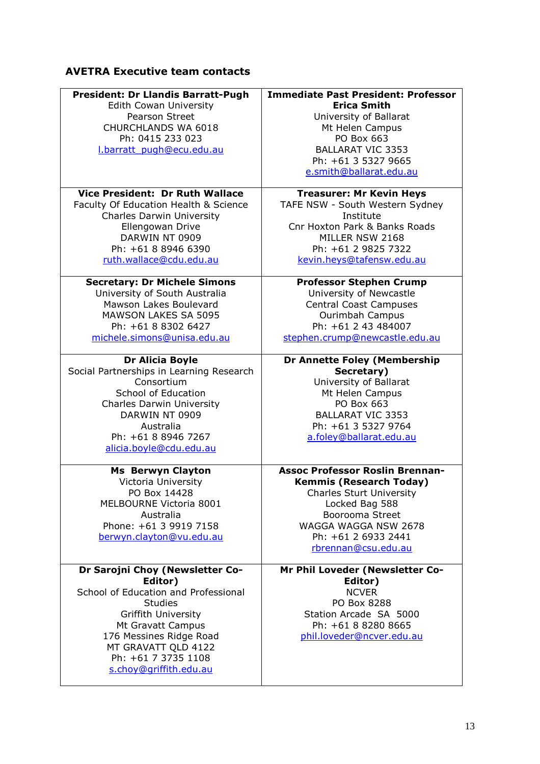# **AVETRA Executive team contacts**

| <b>President: Dr Llandis Barratt-Pugh</b> | <b>Immediate Past President: Professor</b> |
|-------------------------------------------|--------------------------------------------|
| <b>Edith Cowan University</b>             | <b>Erica Smith</b>                         |
| Pearson Street                            | University of Ballarat                     |
| CHURCHLANDS WA 6018                       | Mt Helen Campus                            |
| Ph: 0415 233 023                          | PO Box 663                                 |
| l.barratt pugh@ecu.edu.au                 | <b>BALLARAT VIC 3353</b>                   |
|                                           | Ph: +61 3 5327 9665                        |
|                                           | e.smith@ballarat.edu.au                    |
| <b>Vice President: Dr Ruth Wallace</b>    | <b>Treasurer: Mr Kevin Heys</b>            |
| Faculty Of Education Health & Science     | TAFE NSW - South Western Sydney            |
| <b>Charles Darwin University</b>          | Institute                                  |
| Ellengowan Drive                          | Cnr Hoxton Park & Banks Roads              |
| DARWIN NT 0909                            | MILLER NSW 2168                            |
| Ph: +61 8 8946 6390                       | Ph: +61 2 9825 7322                        |
| ruth.wallace@cdu.edu.au                   | kevin.heys@tafensw.edu.au                  |
| <b>Secretary: Dr Michele Simons</b>       | <b>Professor Stephen Crump</b>             |
| University of South Australia             | University of Newcastle                    |
| Mawson Lakes Boulevard                    | <b>Central Coast Campuses</b>              |
| <b>MAWSON LAKES SA 5095</b>               | Ourimbah Campus                            |
| Ph: +61 8 8302 6427                       | Ph: +61 2 43 484007                        |
| michele.simons@unisa.edu.au               | stephen.crump@newcastle.edu.au             |
| <b>Dr Alicia Boyle</b>                    | <b>Dr Annette Foley (Membership</b>        |
| Social Partnerships in Learning Research  | Secretary)                                 |
| Consortium                                | University of Ballarat                     |
| School of Education                       | Mt Helen Campus                            |
| <b>Charles Darwin University</b>          | PO Box 663                                 |
| DARWIN NT 0909                            | <b>BALLARAT VIC 3353</b>                   |
| Australia                                 | Ph: +61 3 5327 9764                        |
| Ph: +61 8 8946 7267                       | a.foley@ballarat.edu.au                    |
| alicia.boyle@cdu.edu.au                   |                                            |
| <b>Ms Berwyn Clayton</b>                  | <b>Assoc Professor Roslin Brennan-</b>     |
| Victoria University                       | <b>Kemmis (Research Today)</b>             |
| PO Box 14428                              | <b>Charles Sturt University</b>            |
| MELBOURNE Victoria 8001                   | Locked Bag 588                             |
| Australia                                 | Boorooma Street                            |
| Phone: +61 3 9919 7158                    | WAGGA WAGGA NSW 2678                       |
| berwyn.clayton@vu.edu.au                  | Ph: +61 2 6933 2441                        |
|                                           | rbrennan@csu.edu.au                        |
| Dr Sarojni Choy (Newsletter Co-           | Mr Phil Loveder (Newsletter Co-            |
| Editor)                                   | Editor)                                    |
| School of Education and Professional      | <b>NCVER</b>                               |
| <b>Studies</b>                            | PO Box 8288                                |
| <b>Griffith University</b>                | Station Arcade SA 5000                     |
| Mt Gravatt Campus                         | Ph: +61 8 8280 8665                        |
| 176 Messines Ridge Road                   | phil.loveder@ncver.edu.au                  |
| MT GRAVATT QLD 4122                       |                                            |
| Ph: +61 7 3735 1108                       |                                            |
| s.choy@griffith.edu.au                    |                                            |
|                                           |                                            |